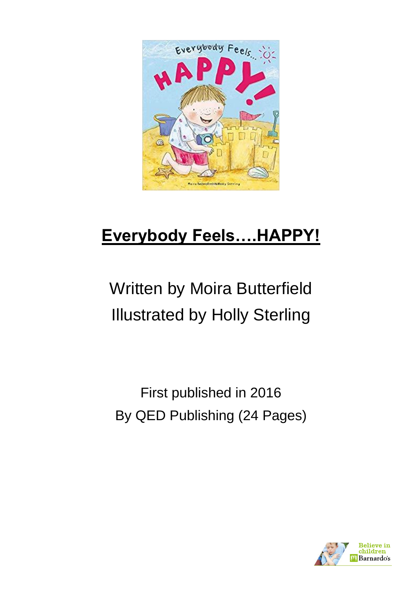

# **Everybody Feels….HAPPY!**

# Written by Moira Butterfield Illustrated by Holly Sterling

First published in 2016 By QED Publishing (24 Pages)

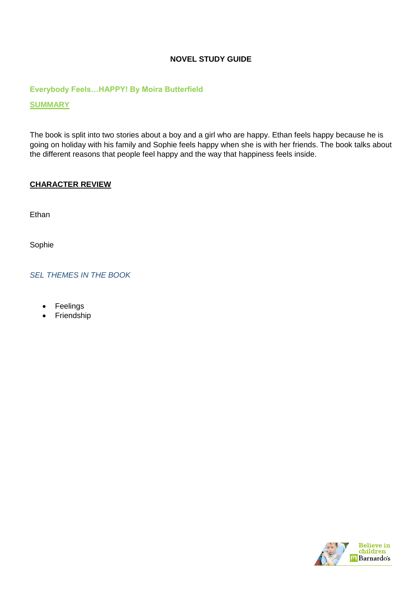# **NOVEL STUDY GUIDE**

**Everybody Feels…HAPPY! By Moira Butterfield**

**SUMMARY**

The book is split into two stories about a boy and a girl who are happy. Ethan feels happy because he is going on holiday with his family and Sophie feels happy when she is with her friends. The book talks about the different reasons that people feel happy and the way that happiness feels inside.

#### **CHARACTER REVIEW**

**Ethan** 

Sophie

*SEL THEMES IN THE BOOK* 

- Feelings
- Friendship

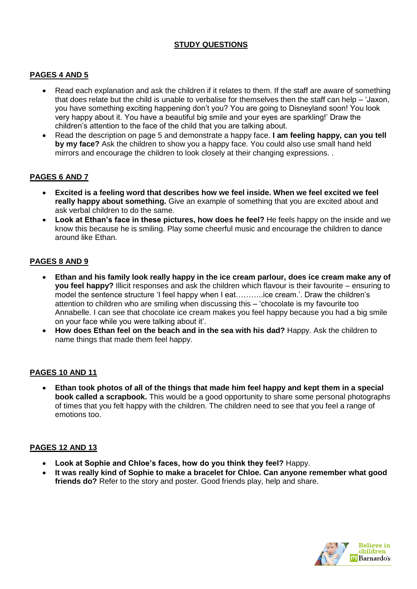# **STUDY QUESTIONS**

# **PAGES 4 AND 5**

- Read each explanation and ask the children if it relates to them. If the staff are aware of something that does relate but the child is unable to verbalise for themselves then the staff can help – 'Jaxon, you have something exciting happening don't you? You are going to Disneyland soon! You look very happy about it. You have a beautiful big smile and your eyes are sparkling!' Draw the children's attention to the face of the child that you are talking about.
- Read the description on page 5 and demonstrate a happy face. **I am feeling happy, can you tell by my face?** Ask the children to show you a happy face. You could also use small hand held mirrors and encourage the children to look closely at their changing expressions. .

# **PAGES 6 AND 7**

- **Excited is a feeling word that describes how we feel inside. When we feel excited we feel really happy about something.** Give an example of something that you are excited about and ask verbal children to do the same.
- **Look at Ethan's face in these pictures, how does he feel?** He feels happy on the inside and we know this because he is smiling. Play some cheerful music and encourage the children to dance around like Ethan.

## **PAGES 8 AND 9**

- **Ethan and his family look really happy in the ice cream parlour, does ice cream make any of you feel happy?** Illicit responses and ask the children which flavour is their favourite – ensuring to model the sentence structure 'I feel happy when I eat………..ice cream.'. Draw the children's attention to children who are smiling when discussing this – 'chocolate is my favourite too Annabelle. I can see that chocolate ice cream makes you feel happy because you had a big smile on your face while you were talking about it'.
- **How does Ethan feel on the beach and in the sea with his dad?** Happy. Ask the children to name things that made them feel happy.

# **PAGES 10 AND 11**

 **Ethan took photos of all of the things that made him feel happy and kept them in a special book called a scrapbook.** This would be a good opportunity to share some personal photographs of times that you felt happy with the children. The children need to see that you feel a range of emotions too.

#### **PAGES 12 AND 13**

- **Look at Sophie and Chloe's faces, how do you think they feel?** Happy.
- **It was really kind of Sophie to make a bracelet for Chloe. Can anyone remember what good friends do?** Refer to the story and poster. Good friends play, help and share.